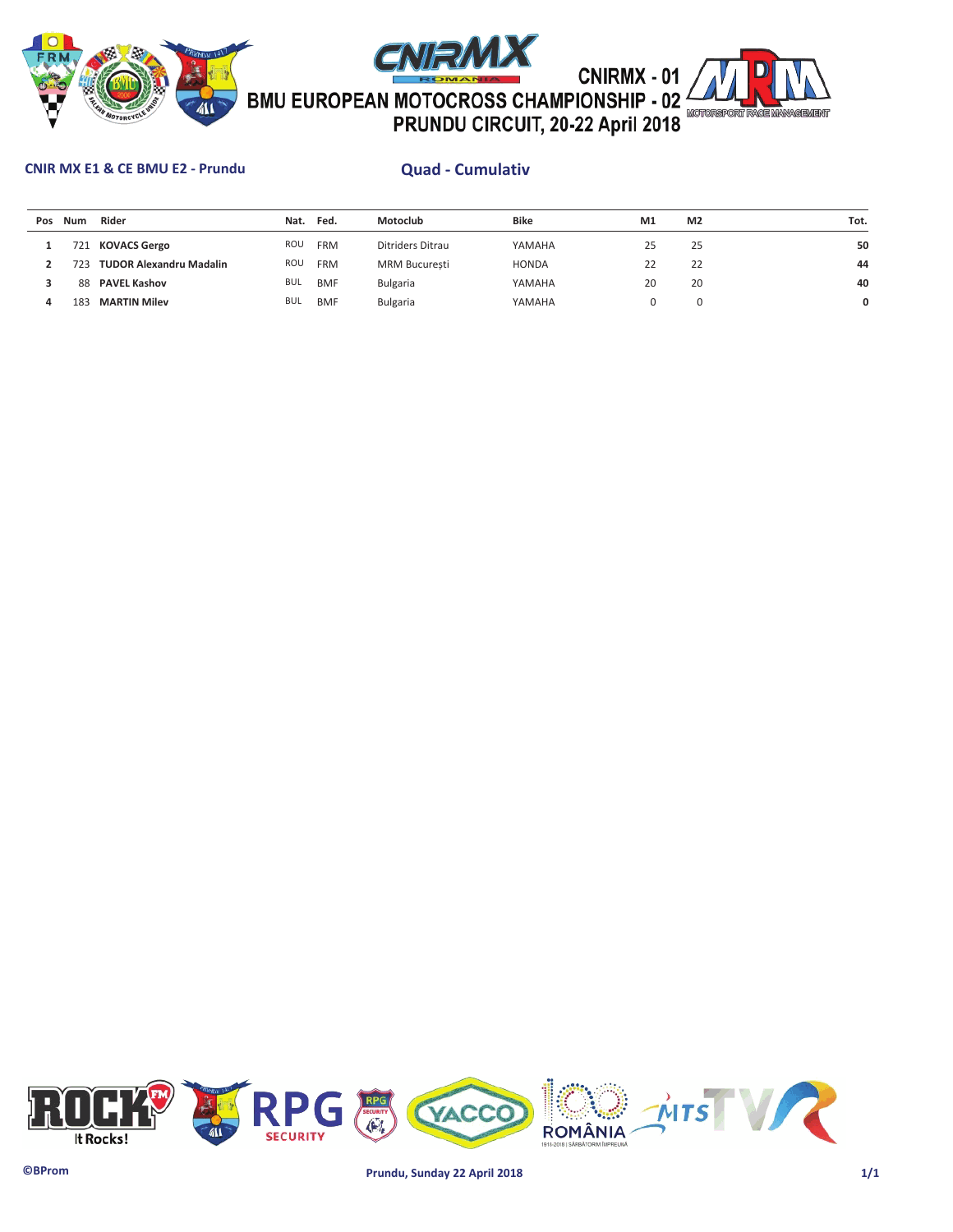





## **CNIR MX E1 & CE BMU E2 - Prundu Quad - Cumulativ**

| Pos | Num             | Rider                          | Nat.       | Fed.       | Motoclub             | <b>Bike</b>  | M1 | M <sub>2</sub> | Tot. |
|-----|-----------------|--------------------------------|------------|------------|----------------------|--------------|----|----------------|------|
|     | 721             | <b>KOVACS Gergo</b>            | ROU        | <b>FRM</b> | Ditriders Ditrau     | YAMAHA       | 25 | 25             | 50   |
|     |                 | <b>TUDOR Alexandru Madalin</b> | ROU        | <b>FRM</b> | <b>MRM Bucuresti</b> | <b>HONDA</b> | 22 | 22             | 44   |
|     | 88              | <b>PAVEL Kashov</b>            | <b>BUL</b> | <b>BMF</b> | Bulgaria             | YAMAHA       | 20 | 20             | 40   |
|     | 18 <sup>1</sup> | <b>MARTIN Milev</b>            | <b>BUL</b> | <b>BMF</b> | <b>Bulgaria</b>      | YAMAHA       |    |                | 0    |

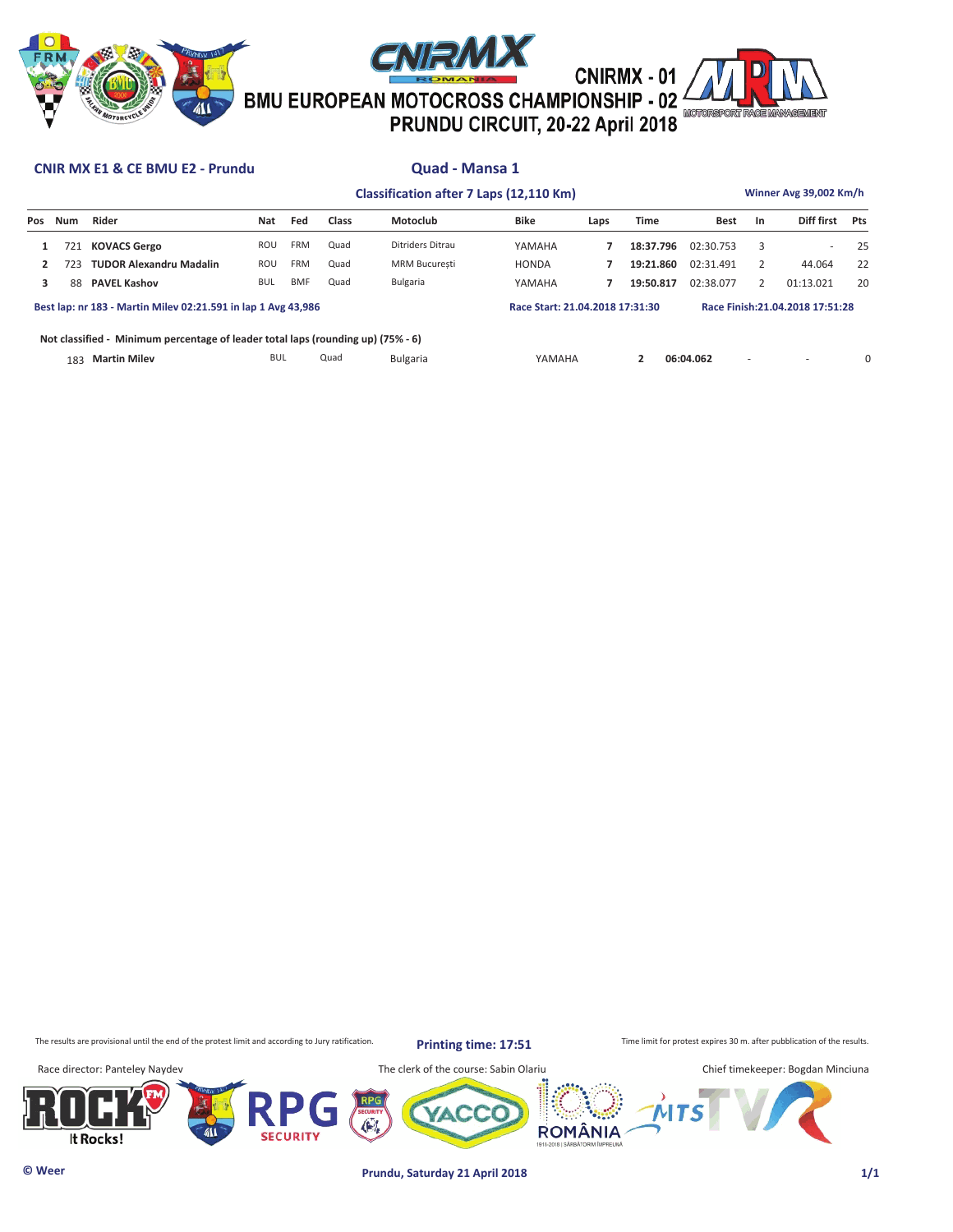





# CNIRMX - 01<br><sup>2</sup> CNIRMX - 01<br><sup>2</sup> PRUNDU CIRCUIT, 20-22 April 2018

## **CNIR MX E1 & CE BMU E2 - Prundu Quad - Mansa 1**

|                                                                                  |                                                               |                                | Classification after 7 Laps (12,110 Km) |            |       |                      |              |                                 |             |             |    |                                  | Winner Avg 39,002 Km/h |  |  |  |  |  |
|----------------------------------------------------------------------------------|---------------------------------------------------------------|--------------------------------|-----------------------------------------|------------|-------|----------------------|--------------|---------------------------------|-------------|-------------|----|----------------------------------|------------------------|--|--|--|--|--|
| Pos                                                                              | Num                                                           | Rider                          | Nat                                     | Fed        | Class | Motoclub             | Bike         | Laps                            | <b>Time</b> | <b>Best</b> | In | Diff first                       | Pts                    |  |  |  |  |  |
| 1                                                                                | 721                                                           | <b>KOVACS Gergo</b>            | ROU                                     | <b>FRM</b> | Quad  | Ditriders Ditrau     | YAMAHA       |                                 | 18:37.796   | 02:30.753   | 3  |                                  | 25                     |  |  |  |  |  |
|                                                                                  | 723                                                           | <b>TUDOR Alexandru Madalin</b> | ROU                                     | <b>FRM</b> | Quad  | <b>MRM Bucuresti</b> | <b>HONDA</b> |                                 | 19:21.860   | 02:31.491   |    | 44.064                           | 22                     |  |  |  |  |  |
| 3                                                                                | 88                                                            | <b>PAVEL Kashov</b>            | <b>BUL</b>                              | <b>BMF</b> | Quad  | Bulgaria             | YAMAHA       |                                 | 19:50.817   | 02:38.077   |    | 01:13.021                        | 20                     |  |  |  |  |  |
|                                                                                  | Best lap: nr 183 - Martin Miley 02:21.591 in lap 1 Avg 43.986 |                                |                                         |            |       |                      |              | Race Start: 21.04.2018 17:31:30 |             |             |    | Race Finish: 21.04.2018 17:51:28 |                        |  |  |  |  |  |
| Not classified - Minimum percentage of leader total laps (rounding up) (75% - 6) |                                                               |                                |                                         |            |       |                      |              |                                 |             |             |    |                                  |                        |  |  |  |  |  |
|                                                                                  | 183                                                           | <b>Martin Milev</b>            | <b>BUL</b>                              |            | Quad  | Bulgaria             | YAMAHA       |                                 | 2           | 06:04.062   | ٠  |                                  | Ω                      |  |  |  |  |  |

The results are provisional until the end of the protest limit and according to Jury ratification. **Printing time: 17.51** Time limit for protest expires 30 m. after pubblication of the results.

**Printing time: 17:51**

**ROMÂNIA** 

Race director: Panteley Naydev The clerk of the course: Sabin Olariu Chief timekeeper: Bogdan Minciuna





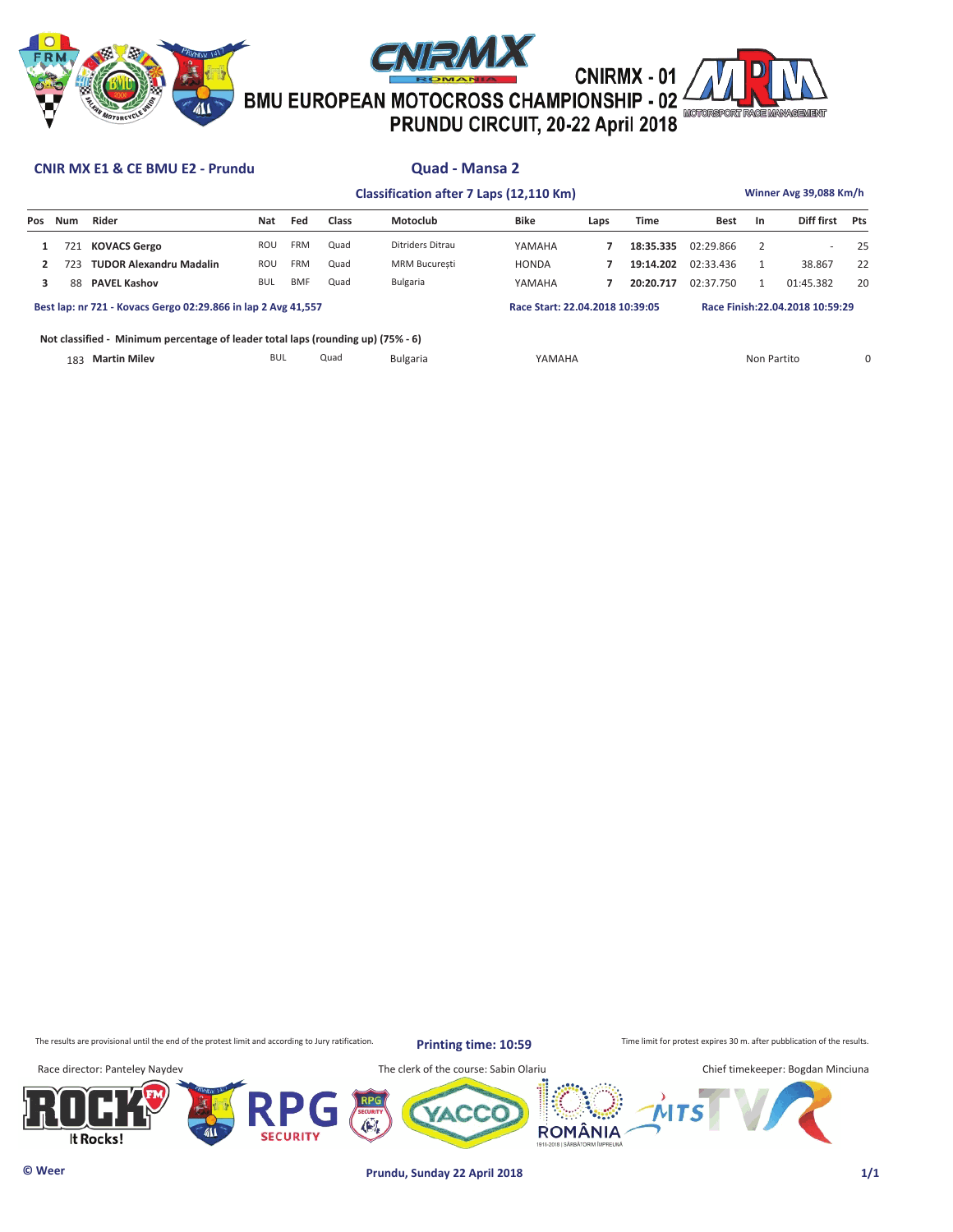





**Classification after 7 Laps (12,110 Km) Winner Avg 39,088 Km/h**

## **CNIR MX E1 & CE BMU E2 - Prundu Quad - Mansa 2**

| <b>Classification after 7 Laps (12,110 Km)</b> |  |  |  |  |
|------------------------------------------------|--|--|--|--|
|------------------------------------------------|--|--|--|--|

| Pos                                                           | Num | Rider                                                                            | Nat        | Fed        | <b>Class</b> | Motoclub             | <b>Bike</b>                     | Laps | <b>Time</b> | <b>Best</b>                      | <b>In</b>   | Diff first | Pts |
|---------------------------------------------------------------|-----|----------------------------------------------------------------------------------|------------|------------|--------------|----------------------|---------------------------------|------|-------------|----------------------------------|-------------|------------|-----|
|                                                               | 721 | <b>KOVACS Gergo</b>                                                              | ROU        | <b>FRM</b> | Quad         | Ditriders Ditrau     | YAMAHA                          |      | 18:35.335   | 02:29.866                        |             |            | 25  |
| $\overline{2}$                                                | 723 | <b>TUDOR Alexandru Madalin</b>                                                   | ROU        | <b>FRM</b> | Quad         | <b>MRM Bucuresti</b> | <b>HONDA</b>                    |      | 19:14.202   | 02:33.436                        |             | 38.867     | 22  |
| 3                                                             | 88  | <b>PAVEL Kashov</b>                                                              | BUL        | <b>BMF</b> | Quad         | Bulgaria             | YAMAHA                          |      | 20:20.717   | 02:37.750                        |             | 01:45.382  | 20  |
| Best lap: nr 721 - Kovacs Gergo 02:29.866 in lap 2 Avg 41,557 |     |                                                                                  |            |            |              |                      | Race Start: 22.04.2018 10:39:05 |      |             | Race Finish: 22.04.2018 10:59:29 |             |            |     |
|                                                               |     | Not classified - Minimum percentage of leader total laps (rounding up) (75% - 6) |            |            |              |                      |                                 |      |             |                                  |             |            |     |
|                                                               | 183 | <b>Martin Milev</b>                                                              | <b>BUL</b> |            | Quad         | <b>Bulgaria</b>      | YAMAHA                          |      |             |                                  | Non Partito |            | Ω   |

The results are provisional until the end of the protest limit and according to Jury ratification. **Printing time: 10:59** Time limit for protest expires 30 m. after pubblication of the results.

**Printing time: 10:59**





Race director: Panteley Naydev The clerk of the course: Sabin Olariu Chief timekeeper: Bogdan Minciuna **ROMÂNIA** 

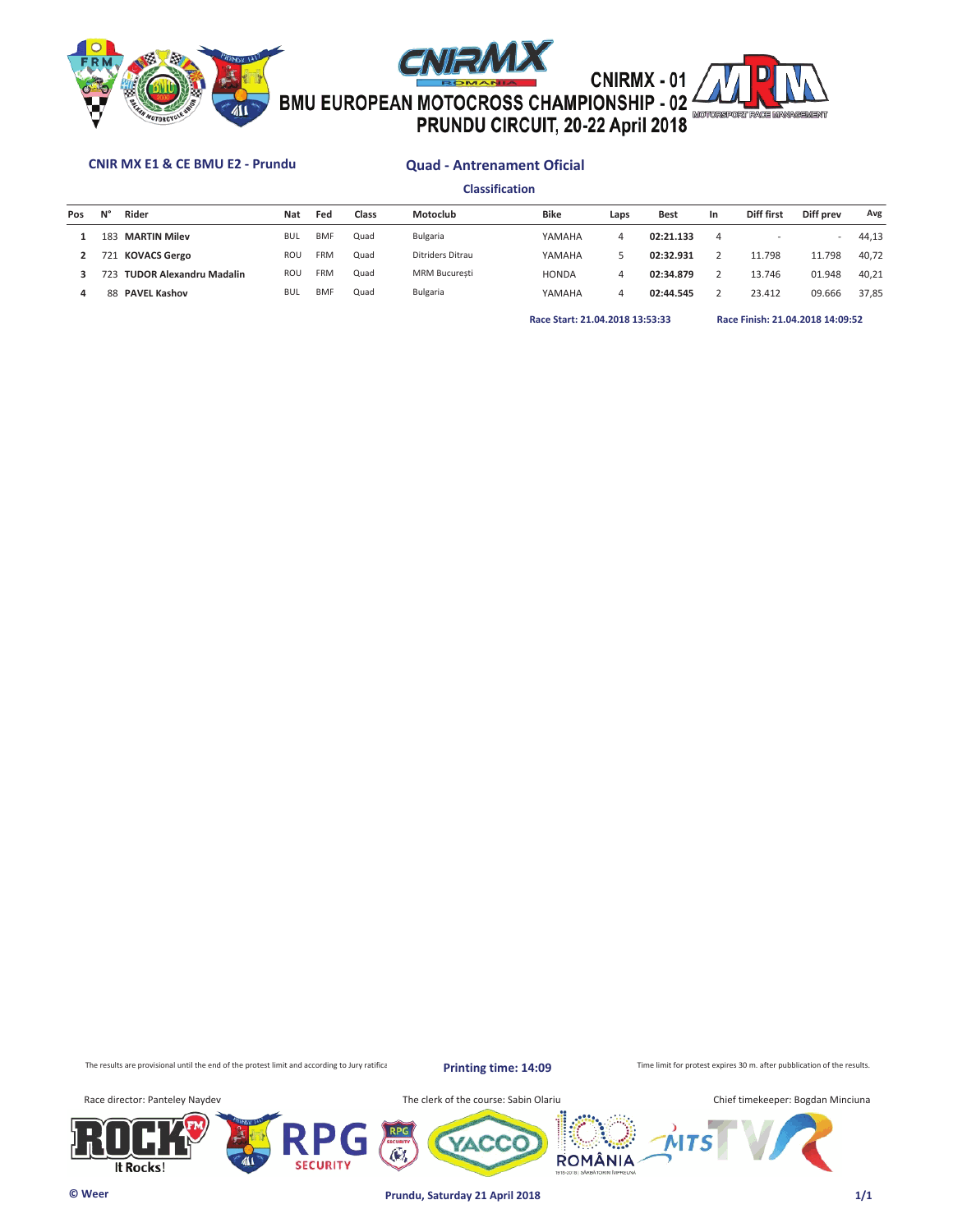





## **CNIR MX E1 & CE BMU E2 - Prundu Quad - Antrenament Oficial**

**Classification**

| Pos | N°  | Rider                   | Nat        | Fed        | Class | Motoclub             | <b>Bike</b>  | Laps | <b>Best</b> | In. | Diff first | Diff prev | Avg   |
|-----|-----|-------------------------|------------|------------|-------|----------------------|--------------|------|-------------|-----|------------|-----------|-------|
|     | 183 | <b>MARTIN Milev</b>     | <b>BUL</b> | <b>BMF</b> | Quad  | Bulgaria             | YAMAHA       | 4    | 02:21.133   | 4   |            | ۰         | 44.13 |
|     |     | 721 KOVACS Gergo        | <b>ROU</b> | <b>FRM</b> | Quad  | Ditriders Ditrau     | YAMAHA       |      | 02:32.931   |     | 11.798     | 11.798    | 40.72 |
|     | 723 | TUDOR Alexandru Madalin | <b>ROU</b> | <b>FRM</b> | Quad  | <b>MRM Bucuresti</b> | <b>HONDA</b> | 4    | 02:34.879   |     | 13.746     | 01.948    | 40.21 |
|     | 88  | <b>PAVEL Kashov</b>     | <b>BUL</b> | <b>BMF</b> | Quad  | Bulgaria             | YAMAHA       | 4    | 02:44.545   |     | 23.412     | 09.666    | 37.85 |
|     |     |                         |            |            |       |                      |              |      |             |     |            |           |       |

**Race Start: 21.04.2018 13:53:33 Race Finish: 21.04.2018 14:09:52** 

The results are provisional until the end of the protest limit and according to Jury ratification.

**Printing time: 14:09**

Time limit for protest expires 30 m. after pubblication of the results.

Race director: Panteley Naydev **The clerk of the course: Sabin Olariu** The clerk of the course: Sabin Olariu







**ROMÂNIA** 

**© Weer Prundu, Saturday 21 April 2018 1/1**